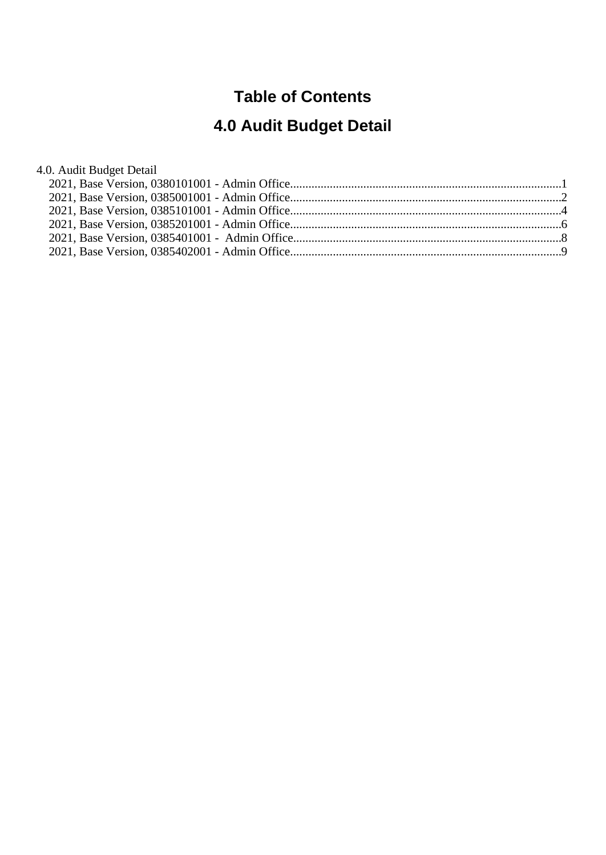## **Table of Contents**

# **4.0 Audit Budget Detail**

4.0. Audit Budget Detail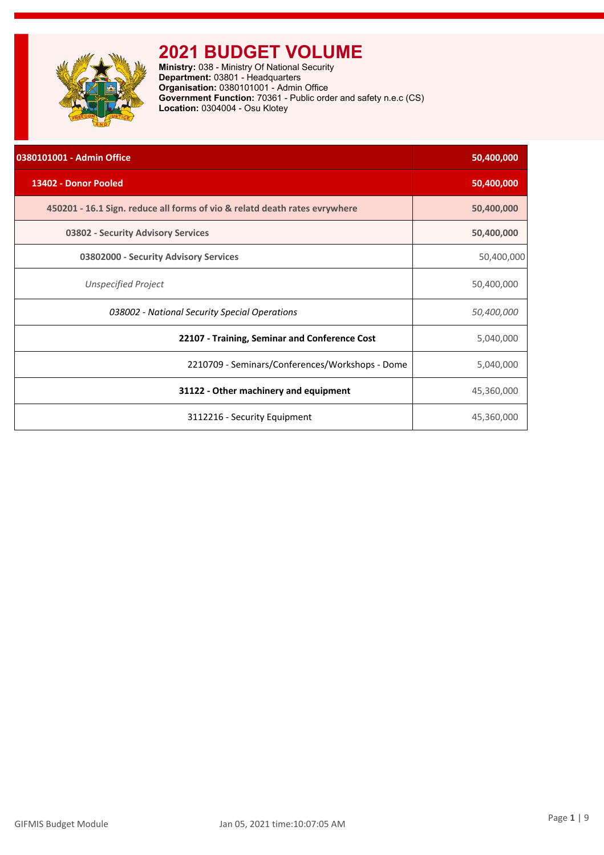<span id="page-1-0"></span>

**Ministry:** 038 - Ministry Of National Security **Department:** 03801 - Headquarters **Organisation:** 0380101001 - Admin Office **Government Function:** 70361 - Public order and safety n.e.c (CS) **Location:** 0304004 - Osu Klotey

| 0380101001 - Admin Office                                                  | 50,400,000 |
|----------------------------------------------------------------------------|------------|
| 13402 - Donor Pooled                                                       | 50,400,000 |
| 450201 - 16.1 Sign. reduce all forms of vio & relatd death rates evrywhere | 50,400,000 |
| 03802 - Security Advisory Services                                         | 50,400,000 |
| 03802000 - Security Advisory Services                                      | 50,400,000 |
| <b>Unspecified Project</b>                                                 | 50,400,000 |
| 038002 - National Security Special Operations                              | 50,400,000 |
| 22107 - Training, Seminar and Conference Cost                              | 5,040,000  |
| 2210709 - Seminars/Conferences/Workshops - Dome                            | 5,040,000  |
| 31122 - Other machinery and equipment                                      | 45,360,000 |
| 3112216 - Security Equipment                                               | 45,360,000 |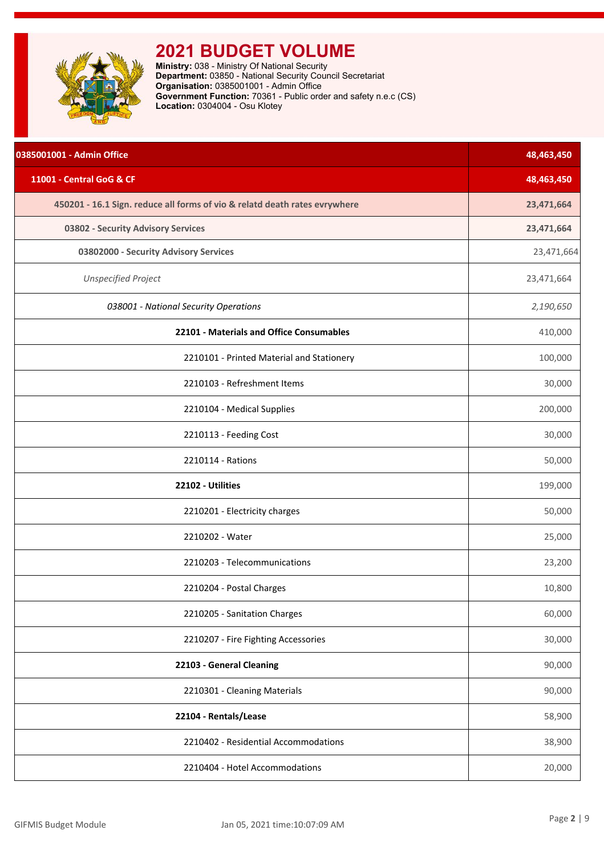<span id="page-2-0"></span>

**Ministry:** 038 - Ministry Of National Security **Department:** 03850 - National Security Council Secretariat **Organisation:** 0385001001 - Admin Office **Government Function:** 70361 - Public order and safety n.e.c (CS) **Location:** 0304004 - Osu Klotey

| 0385001001 - Admin Office                                                  | 48,463,450 |
|----------------------------------------------------------------------------|------------|
| 11001 - Central GoG & CF                                                   | 48,463,450 |
| 450201 - 16.1 Sign. reduce all forms of vio & relatd death rates evrywhere | 23,471,664 |
| 03802 - Security Advisory Services                                         | 23,471,664 |
| 03802000 - Security Advisory Services                                      | 23,471,664 |
| <b>Unspecified Project</b>                                                 | 23,471,664 |
| 038001 - National Security Operations                                      | 2,190,650  |
| 22101 - Materials and Office Consumables                                   | 410,000    |
| 2210101 - Printed Material and Stationery                                  | 100,000    |
| 2210103 - Refreshment Items                                                | 30,000     |
| 2210104 - Medical Supplies                                                 | 200,000    |
| 2210113 - Feeding Cost                                                     | 30,000     |
| 2210114 - Rations                                                          | 50,000     |
| 22102 - Utilities                                                          | 199,000    |
| 2210201 - Electricity charges                                              | 50,000     |
| 2210202 - Water                                                            | 25,000     |
| 2210203 - Telecommunications                                               | 23,200     |
| 2210204 - Postal Charges                                                   | 10,800     |
| 2210205 - Sanitation Charges                                               | 60,000     |
| 2210207 - Fire Fighting Accessories                                        | 30,000     |
| 22103 - General Cleaning                                                   | 90,000     |
| 2210301 - Cleaning Materials                                               | 90,000     |
| 22104 - Rentals/Lease                                                      | 58,900     |
| 2210402 - Residential Accommodations                                       | 38,900     |
| 2210404 - Hotel Accommodations                                             | 20,000     |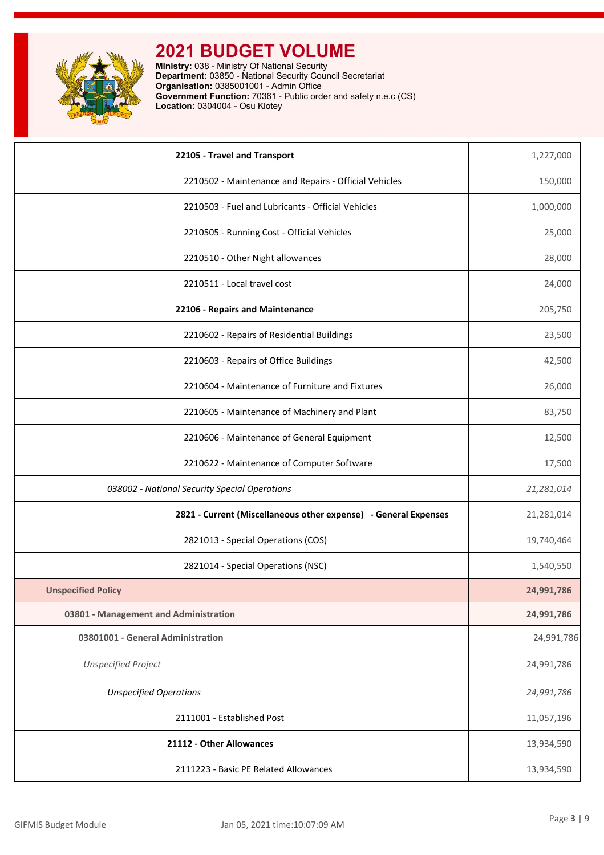

**Ministry:** 038 - Ministry Of National Security **Department:** 03850 - National Security Council Secretariat **Organisation:** 0385001001 - Admin Office **Government Function:** 70361 - Public order and safety n.e.c (CS) **Location:** 0304004 - Osu Klotey

| 22105 - Travel and Transport                                    | 1,227,000  |
|-----------------------------------------------------------------|------------|
| 2210502 - Maintenance and Repairs - Official Vehicles           | 150,000    |
| 2210503 - Fuel and Lubricants - Official Vehicles               | 1,000,000  |
| 2210505 - Running Cost - Official Vehicles                      | 25,000     |
| 2210510 - Other Night allowances                                | 28,000     |
| 2210511 - Local travel cost                                     | 24,000     |
| 22106 - Repairs and Maintenance                                 | 205,750    |
| 2210602 - Repairs of Residential Buildings                      | 23,500     |
| 2210603 - Repairs of Office Buildings                           | 42,500     |
| 2210604 - Maintenance of Furniture and Fixtures                 | 26,000     |
| 2210605 - Maintenance of Machinery and Plant                    | 83,750     |
| 2210606 - Maintenance of General Equipment                      | 12,500     |
| 2210622 - Maintenance of Computer Software                      | 17,500     |
| 038002 - National Security Special Operations                   | 21,281,014 |
| 2821 - Current (Miscellaneous other expense) - General Expenses | 21,281,014 |
| 2821013 - Special Operations (COS)                              | 19,740,464 |
| 2821014 - Special Operations (NSC)                              | 1,540,550  |
| <b>Unspecified Policy</b>                                       | 24,991,786 |
| 03801 - Management and Administration                           | 24,991,786 |
| 03801001 - General Administration                               | 24,991,786 |
| <b>Unspecified Project</b>                                      | 24,991,786 |
| <b>Unspecified Operations</b>                                   | 24,991,786 |
| 2111001 - Established Post                                      | 11,057,196 |
| 21112 - Other Allowances                                        | 13,934,590 |
| 2111223 - Basic PE Related Allowances                           | 13,934,590 |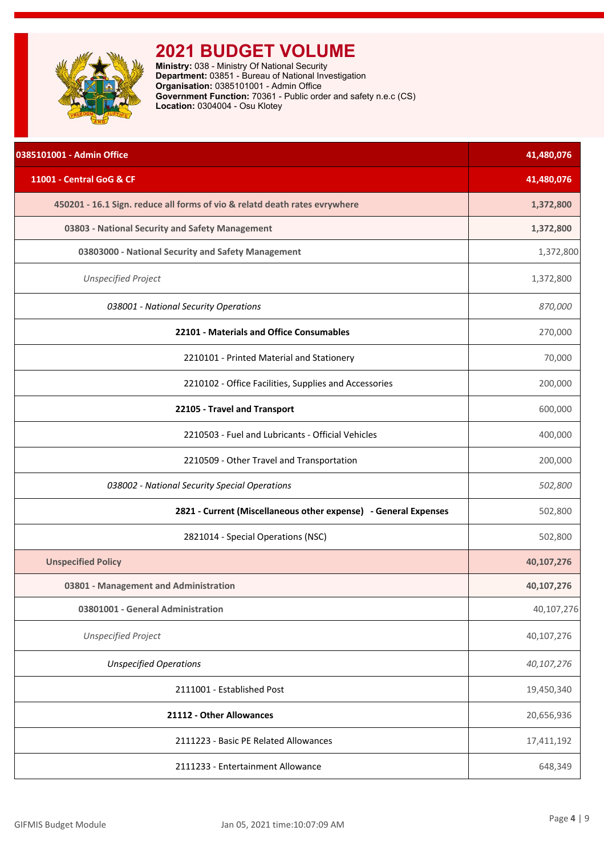<span id="page-4-0"></span>

**Ministry:** 038 - Ministry Of National Security **Department:** 03851 - Bureau of National Investigation **Organisation:** 0385101001 - Admin Office **Government Function:** 70361 - Public order and safety n.e.c (CS) **Location:** 0304004 - Osu Klotey

| 0385101001 - Admin Office                                                  | 41,480,076 |
|----------------------------------------------------------------------------|------------|
| 11001 - Central GoG & CF                                                   | 41,480,076 |
| 450201 - 16.1 Sign. reduce all forms of vio & relatd death rates evrywhere | 1,372,800  |
| 03803 - National Security and Safety Management                            | 1,372,800  |
| 03803000 - National Security and Safety Management                         | 1,372,800  |
| <b>Unspecified Project</b>                                                 | 1,372,800  |
| 038001 - National Security Operations                                      | 870,000    |
| 22101 - Materials and Office Consumables                                   | 270,000    |
| 2210101 - Printed Material and Stationery                                  | 70,000     |
| 2210102 - Office Facilities, Supplies and Accessories                      | 200,000    |
| 22105 - Travel and Transport                                               | 600,000    |
| 2210503 - Fuel and Lubricants - Official Vehicles                          | 400,000    |
| 2210509 - Other Travel and Transportation                                  | 200,000    |
| 038002 - National Security Special Operations                              | 502,800    |
| 2821 - Current (Miscellaneous other expense) - General Expenses            | 502,800    |
| 2821014 - Special Operations (NSC)                                         | 502,800    |
| <b>Unspecified Policy</b>                                                  | 40,107,276 |
| 03801 - Management and Administration                                      | 40,107,276 |
| 03801001 - General Administration                                          | 40,107,276 |
| <b>Unspecified Project</b>                                                 | 40,107,276 |
| <b>Unspecified Operations</b>                                              | 40,107,276 |
| 2111001 - Established Post                                                 | 19,450,340 |
| 21112 - Other Allowances                                                   | 20,656,936 |
| 2111223 - Basic PE Related Allowances                                      | 17,411,192 |
| 2111233 - Entertainment Allowance                                          | 648,349    |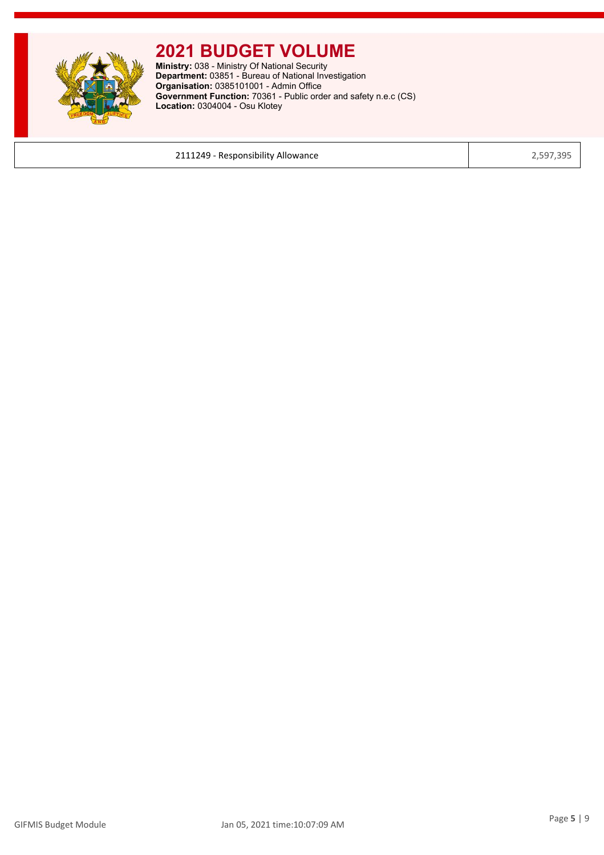

**Ministry:** 038 - Ministry Of National Security **Department:** 03851 - Bureau of National Investigation **Organisation:** 0385101001 - Admin Office **Government Function:** 70361 - Public order and safety n.e.c (CS) **Location:** 0304004 - Osu Klotey

2111249 - Responsibility Allowance 2,597,395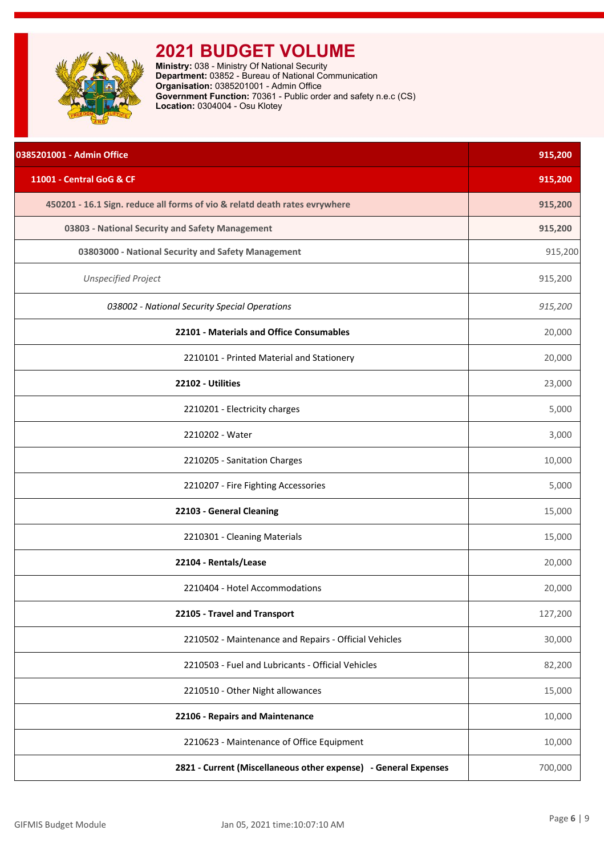<span id="page-6-0"></span>

**Ministry:** 038 - Ministry Of National Security **Department:** 03852 - Bureau of National Communication **Organisation:** 0385201001 - Admin Office **Government Function:** 70361 - Public order and safety n.e.c (CS) **Location:** 0304004 - Osu Klotey

| 0385201001 - Admin Office                                                  | 915,200 |
|----------------------------------------------------------------------------|---------|
| 11001 - Central GoG & CF                                                   | 915,200 |
| 450201 - 16.1 Sign. reduce all forms of vio & relatd death rates evrywhere | 915,200 |
| 03803 - National Security and Safety Management                            | 915,200 |
| 03803000 - National Security and Safety Management                         | 915,200 |
| <b>Unspecified Project</b>                                                 | 915,200 |
| 038002 - National Security Special Operations                              | 915,200 |
| 22101 - Materials and Office Consumables                                   | 20,000  |
| 2210101 - Printed Material and Stationery                                  | 20,000  |
| 22102 - Utilities                                                          | 23,000  |
| 2210201 - Electricity charges                                              | 5,000   |
| 2210202 - Water                                                            | 3,000   |
| 2210205 - Sanitation Charges                                               | 10,000  |
| 2210207 - Fire Fighting Accessories                                        | 5,000   |
| 22103 - General Cleaning                                                   | 15,000  |
| 2210301 - Cleaning Materials                                               | 15,000  |
| 22104 - Rentals/Lease                                                      | 20,000  |
| 2210404 - Hotel Accommodations                                             | 20,000  |
| 22105 - Travel and Transport                                               | 127,200 |
| 2210502 - Maintenance and Repairs - Official Vehicles                      | 30,000  |
| 2210503 - Fuel and Lubricants - Official Vehicles                          | 82,200  |
| 2210510 - Other Night allowances                                           | 15,000  |
| 22106 - Repairs and Maintenance                                            | 10,000  |
| 2210623 - Maintenance of Office Equipment                                  | 10,000  |
| 2821 - Current (Miscellaneous other expense) - General Expenses            | 700,000 |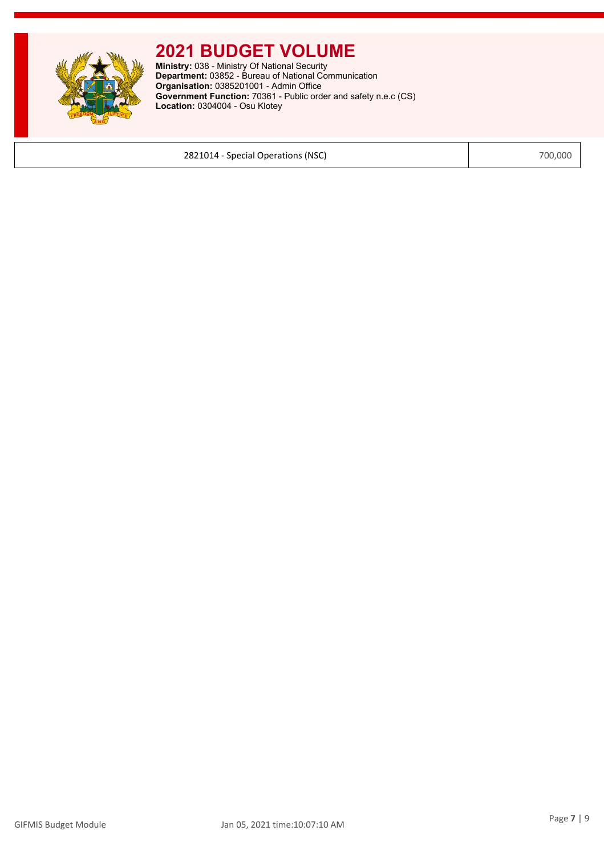

**Ministry:** 038 - Ministry Of National Security **Department:** 03852 - Bureau of National Communication **Organisation:** 0385201001 - Admin Office **Government Function:** 70361 - Public order and safety n.e.c (CS) **Location:** 0304004 - Osu Klotey

2821014 - Special Operations (NSC) 700,000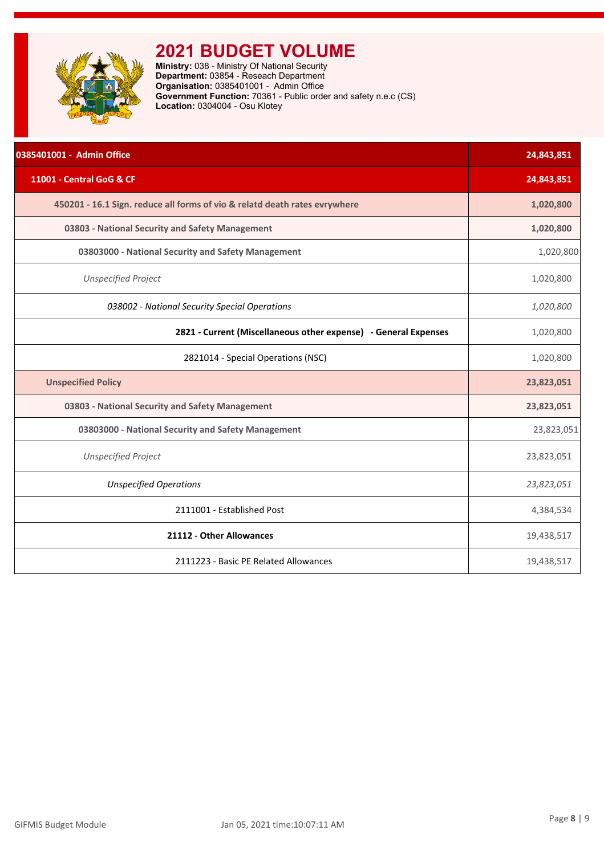<span id="page-8-0"></span>

**Ministry:** 038 - Ministry Of National Security **Department:** 03854 - Reseach Department **Organisation:** 0385401001 - Admin Office **Government Function:** 70361 - Public order and safety n.e.c (CS) **Location:** 0304004 - Osu Klotey

| 0385401001 - Admin Office                                                  | 24,843,851 |
|----------------------------------------------------------------------------|------------|
| 11001 - Central GoG & CF                                                   | 24,843,851 |
| 450201 - 16.1 Sign. reduce all forms of vio & relatd death rates evrywhere | 1,020,800  |
| 03803 - National Security and Safety Management                            | 1,020,800  |
| 03803000 - National Security and Safety Management                         | 1,020,800  |
| <b>Unspecified Project</b>                                                 | 1,020,800  |
| 038002 - National Security Special Operations                              | 1,020,800  |
| 2821 - Current (Miscellaneous other expense) - General Expenses            | 1,020,800  |
| 2821014 - Special Operations (NSC)                                         | 1,020,800  |
| <b>Unspecified Policy</b>                                                  | 23,823,051 |
| 03803 - National Security and Safety Management                            | 23,823,051 |
| 03803000 - National Security and Safety Management                         | 23,823,051 |
| <b>Unspecified Project</b>                                                 | 23,823,051 |
| <b>Unspecified Operations</b>                                              | 23,823,051 |
| 2111001 - Established Post                                                 | 4,384,534  |
| 21112 - Other Allowances                                                   | 19,438,517 |
| 2111223 - Basic PE Related Allowances                                      | 19,438,517 |